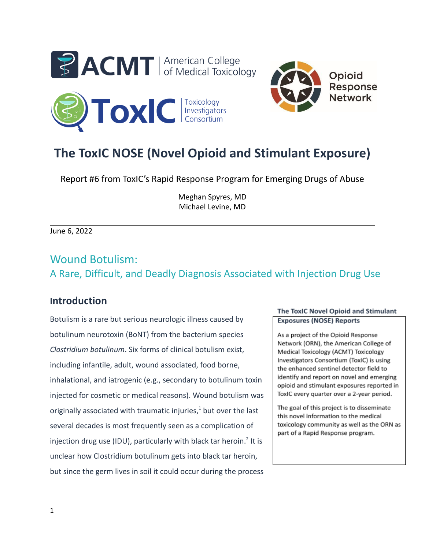



# **The ToxIC NOSE (Novel Opioid and Stimulant Exposure)**

Report #6 from ToxIC's Rapid Response Program for Emerging Drugs of Abuse

Meghan Spyres, MD Michael Levine, MD

June 6, 2022

## Wound Botulism: A Rare, Difficult, and Deadly Diagnosis Associated with Injection Drug Use

## **Introduction**

Botulism is a rare but serious neurologic illness caused by botulinum neurotoxin (BoNT) from the bacterium species *Clostridium botulinum*. Six forms of clinical botulism exist, including infantile, adult, wound associated, food borne, inhalational, and iatrogenic (e.g., secondary to botulinum toxin injected for cosmetic or medical reasons). Wound botulism was originally associated with traumatic injuries, $1$  but over the last several decades is most frequently seen as a complication of injection drug use (IDU), particularly with black tar heroin.<sup>2</sup> It is unclear how Clostridium botulinum gets into black tar heroin, but since the germ lives in soil it could occur during the process

#### The ToxIC Novel Opioid and Stimulant **Exposures (NOSE) Reports**

As a project of the Opioid Response Network (ORN), the American College of Medical Toxicology (ACMT) Toxicology Investigators Consortium (ToxIC) is using the enhanced sentinel detector field to identify and report on novel and emerging opioid and stimulant exposures reported in ToxIC every quarter over a 2-year period.

The goal of this project is to disseminate this novel information to the medical toxicology community as well as the ORN as part of a Rapid Response program.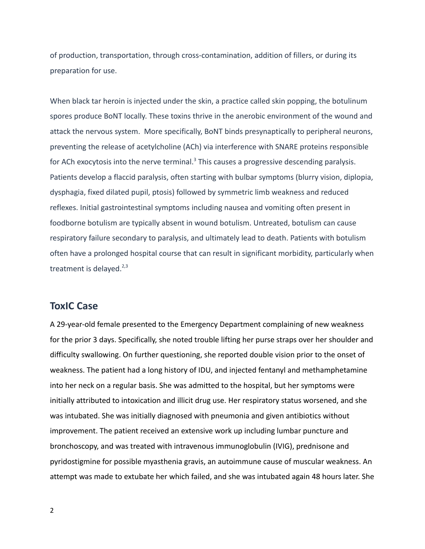of production, transportation, through cross-contamination, addition of fillers, or during its preparation for use.

When black tar heroin is injected under the skin, a practice called skin popping, the botulinum spores produce BoNT locally. These toxins thrive in the anerobic environment of the wound and attack the nervous system. More specifically, BoNT binds presynaptically to peripheral neurons, preventing the release of acetylcholine (ACh) via interference with SNARE proteins responsible for ACh exocytosis into the nerve terminal. $3$  This causes a progressive descending paralysis. Patients develop a flaccid paralysis, often starting with bulbar symptoms (blurry vision, diplopia, dysphagia, fixed dilated pupil, ptosis) followed by symmetric limb weakness and reduced reflexes. Initial gastrointestinal symptoms including nausea and vomiting often present in foodborne botulism are typically absent in wound botulism. Untreated, botulism can cause respiratory failure secondary to paralysis, and ultimately lead to death. Patients with botulism often have a prolonged hospital course that can result in significant morbidity, particularly when treatment is delayed. $2,3$ 

#### **ToxIC Case**

A 29-year-old female presented to the Emergency Department complaining of new weakness for the prior 3 days. Specifically, she noted trouble lifting her purse straps over her shoulder and difficulty swallowing. On further questioning, she reported double vision prior to the onset of weakness. The patient had a long history of IDU, and injected fentanyl and methamphetamine into her neck on a regular basis. She was admitted to the hospital, but her symptoms were initially attributed to intoxication and illicit drug use. Her respiratory status worsened, and she was intubated. She was initially diagnosed with pneumonia and given antibiotics without improvement. The patient received an extensive work up including lumbar puncture and bronchoscopy, and was treated with intravenous immunoglobulin (IVIG), prednisone and pyridostigmine for possible myasthenia gravis, an autoimmune cause of muscular weakness. An attempt was made to extubate her which failed, and she was intubated again 48 hours later. She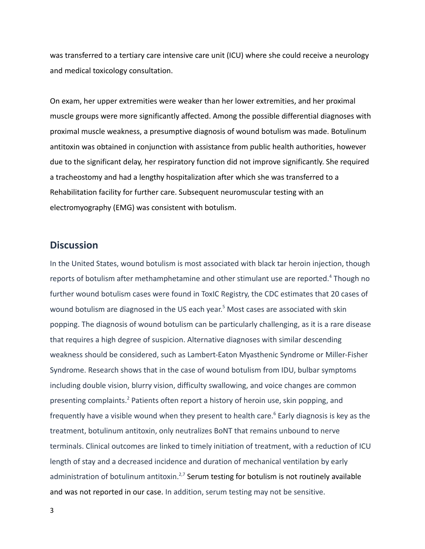was transferred to a tertiary care intensive care unit (ICU) where she could receive a neurology and medical toxicology consultation.

On exam, her upper extremities were weaker than her lower extremities, and her proximal muscle groups were more significantly affected. Among the possible differential diagnoses with proximal muscle weakness, a presumptive diagnosis of wound botulism was made. Botulinum antitoxin was obtained in conjunction with assistance from public health authorities, however due to the significant delay, her respiratory function did not improve significantly. She required a tracheostomy and had a lengthy hospitalization after which she was transferred to a Rehabilitation facility for further care. Subsequent neuromuscular testing with an electromyography (EMG) was consistent with botulism.

#### **Discussion**

In the United States, wound botulism is most associated with black tar heroin injection, though reports of botulism after methamphetamine and other stimulant use are reported.<sup>4</sup> Though no further wound botulism cases were found in ToxIC Registry, the CDC estimates that 20 cases of wound botulism are diagnosed in the US each year. <sup>5</sup> Most cases are associated with skin popping. The diagnosis of wound botulism can be particularly challenging, as it is a rare disease that requires a high degree of suspicion. Alternative diagnoses with similar descending weakness should be considered, such as Lambert-Eaton Myasthenic Syndrome or Miller-Fisher Syndrome. Research shows that in the case of wound botulism from IDU, bulbar symptoms including double vision, blurry vision, difficulty swallowing, and voice changes are common presenting complaints.<sup>2</sup> Patients often report a history of heroin use, skin popping, and frequently have a visible wound when they present to health care.<sup>6</sup> Early diagnosis is key as the treatment, botulinum antitoxin, only neutralizes BoNT that remains unbound to nerve terminals. Clinical outcomes are linked to timely initiation of treatment, with a reduction of ICU length of stay and a decreased incidence and duration of mechanical ventilation by early administration of botulinum antitoxin.<sup>2,7</sup> Serum testing for botulism is not routinely available and was not reported in our case. In addition, serum testing may not be sensitive.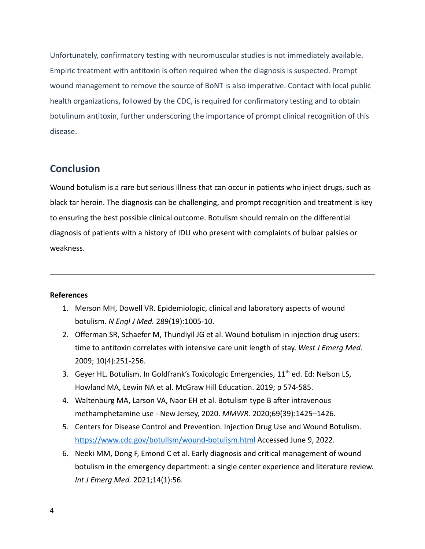Unfortunately, confirmatory testing with neuromuscular studies is not immediately available. Empiric treatment with antitoxin is often required when the diagnosis is suspected. Prompt wound management to remove the source of BoNT is also imperative. Contact with local public health organizations, followed by the CDC, is required for confirmatory testing and to obtain botulinum antitoxin, further underscoring the importance of prompt clinical recognition of this disease.

### **Conclusion**

Wound botulism is a rare but serious illness that can occur in patients who inject drugs, such as black tar heroin. The diagnosis can be challenging, and prompt recognition and treatment is key to ensuring the best possible clinical outcome. Botulism should remain on the differential diagnosis of patients with a history of IDU who present with complaints of bulbar palsies or weakness.

#### **References**

- 1. Merson MH, Dowell VR. Epidemiologic, clinical and laboratory aspects of wound botulism. *N Engl J Med.* 289(19):1005-10.
- 2. Offerman SR, Schaefer M, Thundiyil JG et al. Wound botulism in injection drug users: time to antitoxin correlates with intensive care unit length of stay. *West J Emerg Med.* 2009; 10(4):251-256.
- 3. Geyer HL. Botulism. In Goldfrank's Toxicologic Emergencies,  $11<sup>th</sup>$  ed. Ed: Nelson LS, Howland MA, Lewin NA et al. McGraw Hill Education. 2019; p 574-585.
- 4. Waltenburg MA, Larson VA, Naor EH et al. Botulism type B after intravenous methamphetamine use - New Jersey, 2020. *MMWR.* 2020;69(39):1425–1426.
- 5. Centers for Disease Control and Prevention. Injection Drug Use and Wound Botulism. <https://www.cdc.gov/botulism/wound-botulism.html> Accessed June 9, 2022.
- 6. Neeki MM, Dong F, Emond C et al. Early diagnosis and critical management of wound botulism in the emergency department: a single center experience and literature review. *Int J Emerg Med.* 2021;14(1):56.